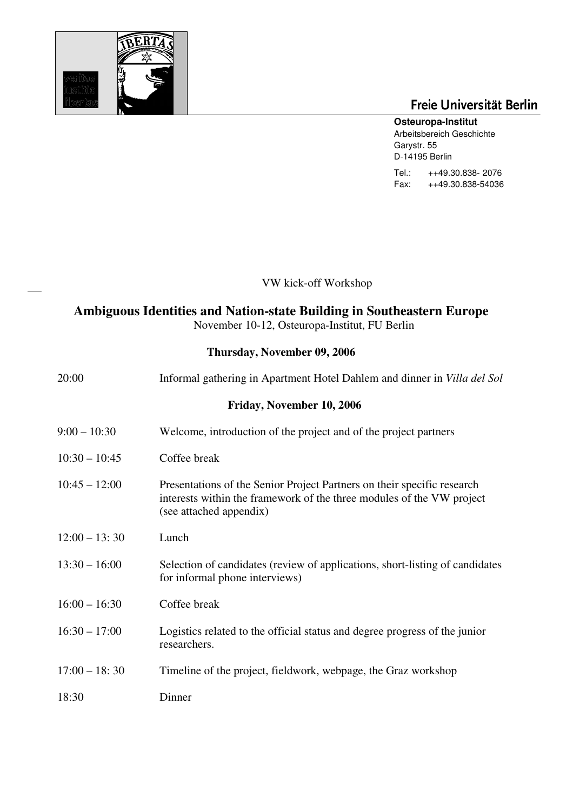

# Freie Universität Berlin

### **Osteuropa-Institut**

Arbeitsbereich Geschichte Garystr. 55 D-14195 Berlin Tel.: ++49.30.838- 2076

Fax: ++49.30.838-54036

VW kick-off Workshop

## **Ambiguous Identities and Nation-state Building in Southeastern Europe**

November 10-12, Osteuropa-Institut, FU Berlin

#### **Thursday, November 09, 2006**

| 20:00           | Informal gathering in Apartment Hotel Dahlem and dinner in Villa del Sol                                                                                                    |
|-----------------|-----------------------------------------------------------------------------------------------------------------------------------------------------------------------------|
|                 | Friday, November 10, 2006                                                                                                                                                   |
| $9:00 - 10:30$  | Welcome, introduction of the project and of the project partners                                                                                                            |
| $10:30 - 10:45$ | Coffee break                                                                                                                                                                |
| $10:45 - 12:00$ | Presentations of the Senior Project Partners on their specific research<br>interests within the framework of the three modules of the VW project<br>(see attached appendix) |
| $12:00 - 13:30$ | Lunch                                                                                                                                                                       |
| $13:30 - 16:00$ | Selection of candidates (review of applications, short-listing of candidates<br>for informal phone interviews)                                                              |
| $16:00 - 16:30$ | Coffee break                                                                                                                                                                |
| $16:30 - 17:00$ | Logistics related to the official status and degree progress of the junior<br>researchers.                                                                                  |
| $17:00 - 18:30$ | Timeline of the project, fieldwork, webpage, the Graz workshop                                                                                                              |
| 18:30           | Dinner                                                                                                                                                                      |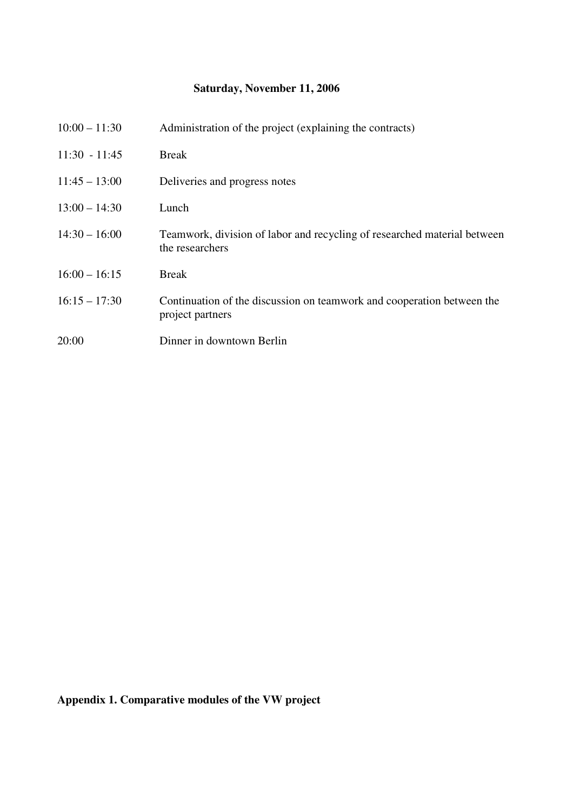### **Saturday, November 11, 2006**

| $10:00 - 11:30$ | Administration of the project (explaining the contracts)                                    |
|-----------------|---------------------------------------------------------------------------------------------|
| $11:30 - 11:45$ | Break                                                                                       |
| $11:45 - 13:00$ | Deliveries and progress notes                                                               |
| $13:00 - 14:30$ | Lunch                                                                                       |
| $14:30 - 16:00$ | Teamwork, division of labor and recycling of researched material between<br>the researchers |
| $16:00 - 16:15$ | <b>Break</b>                                                                                |
| $16:15 - 17:30$ | Continuation of the discussion on teamwork and cooperation between the<br>project partners  |
| 20:00           | Dinner in downtown Berlin                                                                   |

**Appendix 1. Comparative modules of the VW project**